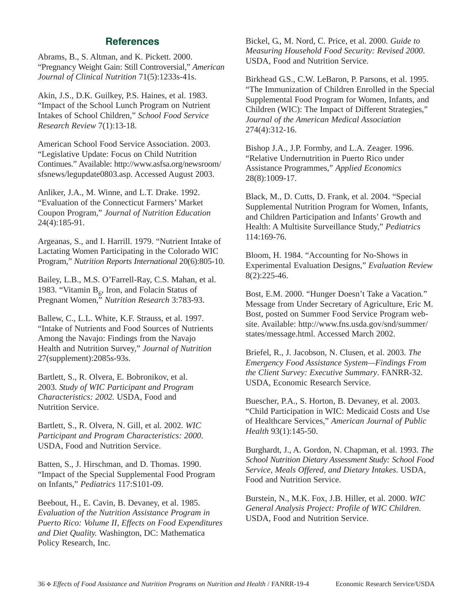## **References**

Abrams, B., S. Altman, and K. Pickett. 2000. "Pregnancy Weight Gain: Still Controversial," *American Journal of Clinical Nutrition* 71(5):1233s-41s.

Akin, J.S., D.K. Guilkey, P.S. Haines, et al. 1983. "Impact of the School Lunch Program on Nutrient Intakes of School Children," *School Food Service Research Review* 7(1):13-18.

American School Food Service Association. 2003. "Legislative Update: Focus on Child Nutrition Continues." Available: http://www.asfsa.org/newsroom/ sfsnews/legupdate0803.asp. Accessed August 2003.

Anliker, J.A., M. Winne, and L.T. Drake. 1992. "Evaluation of the Connecticut Farmers' Market Coupon Program," *Journal of Nutrition Education* 24(4):185-91.

Argeanas, S., and I. Harrill. 1979. "Nutrient Intake of Lactating Women Participating in the Colorado WIC Program," *Nutrition Reports International* 20(6):805-10.

Bailey, L.B., M.S. O'Farrell-Ray, C.S. Mahan, et al. 1983. "Vitamin  $B_6$ , Iron, and Folacin Status of Pregnant Women," *Nutrition Research* 3:783-93.

Ballew, C., L.L. White, K.F. Strauss, et al. 1997. "Intake of Nutrients and Food Sources of Nutrients Among the Navajo: Findings from the Navajo Health and Nutrition Survey," *Journal of Nutrition* 27(supplement):2085s-93s.

Bartlett, S., R. Olvera, E. Bobronikov, et al. 2003. *Study of WIC Participant and Program Characteristics: 2002.* USDA, Food and Nutrition Service.

Bartlett, S., R. Olvera, N. Gill, et al. 2002. *WIC Participant and Program Characteristics: 2000*. USDA, Food and Nutrition Service.

Batten, S., J. Hirschman, and D. Thomas. 1990. "Impact of the Special Supplemental Food Program on Infants," *Pediatrics* 117:S101-09.

Beebout, H., E. Cavin, B. Devaney, et al. 1985. *Evaluation of the Nutrition Assistance Program in Puerto Rico: Volume II, Effects on Food Expenditures and Diet Quality.* Washington, DC: Mathematica Policy Research, Inc.

Bickel, G., M. Nord, C. Price, et al. 2000. *Guide to Measuring Household Food Security: Revised 2000*. USDA, Food and Nutrition Service.

Birkhead G.S., C.W. LeBaron, P. Parsons, et al. 1995. "The Immunization of Children Enrolled in the Special Supplemental Food Program for Women, Infants, and Children (WIC): The Impact of Different Strategies," *Journal of the American Medical Association* 274(4):312-16.

Bishop J.A., J.P. Formby, and L.A. Zeager. 1996. "Relative Undernutrition in Puerto Rico under Assistance Programmes," *Applied Economics* 28(8):1009-17.

Black, M., D. Cutts, D. Frank, et al. 2004. "Special Supplemental Nutrition Program for Women, Infants, and Children Participation and Infants' Growth and Health: A Multisite Surveillance Study," *Pediatrics* 114:169-76.

Bloom, H. 1984. "Accounting for No-Shows in Experimental Evaluation Designs," *Evaluation Review* 8(2):225-46.

Bost, E.M. 2000. "Hunger Doesn't Take a Vacation*.*" Message from Under Secretary of Agriculture, Eric M. Bost, posted on Summer Food Service Program website. Available: http://www.fns.usda.gov/snd/summer/ states/message.html. Accessed March 2002.

Briefel, R., J. Jacobson, N. Clusen, et al. 2003. *The Emergency Food Assistance System—Findings From the Client Survey: Executive Summary*. FANRR-32. USDA, Economic Research Service.

Buescher, P.A., S. Horton, B. Devaney, et al. 2003. "Child Participation in WIC: Medicaid Costs and Use of Healthcare Services," *American Journal of Public Health* 93(1):145-50.

Burghardt, J., A. Gordon, N. Chapman, et al. 1993. *The School Nutrition Dietary Assessment Study: School Food Service, Meals Offered, and Dietary Intakes*. USDA, Food and Nutrition Service.

Burstein, N., M.K. Fox, J.B. Hiller, et al. 2000. *WIC General Analysis Project: Profile of WIC Children*. USDA, Food and Nutrition Service.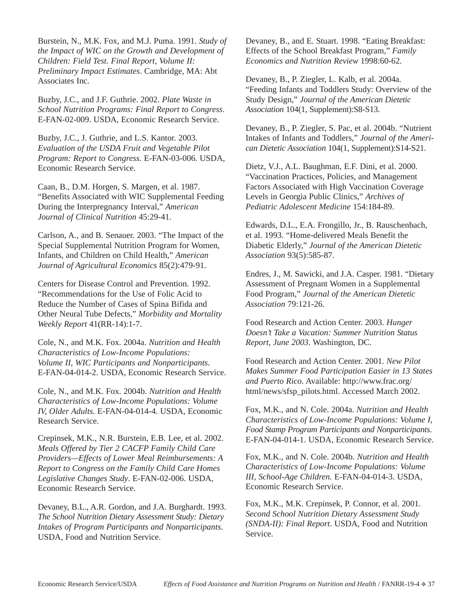Burstein, N., M.K. Fox, and M.J. Puma. 1991. *Study of the Impact of WIC on the Growth and Development of Children: Field Test. Final Report, Volume II: Preliminary Impact Estimates*. Cambridge, MA: Abt Associates Inc.

Buzby, J.C., and J.F. Guthrie. 2002. *Plate Waste in School Nutrition Programs: Final Report to Congress*. E-FAN-02-009. USDA, Economic Research Service.

Buzby, J.C., J. Guthrie, and L.S. Kantor. 2003. *Evaluation of the USDA Fruit and Vegetable Pilot Program: Report to Congress.* E-FAN-03-006. USDA, Economic Research Service.

Caan, B., D.M. Horgen, S. Margen, et al. 1987. "Benefits Associated with WIC Supplemental Feeding During the Interpregnancy Interval," *American Journal of Clinical Nutrition* 45:29-41.

Carlson, A., and B. Senauer. 2003. "The Impact of the Special Supplemental Nutrition Program for Women, Infants, and Children on Child Health," *American Journal of Agricultural Economics* 85(2):479-91.

Centers for Disease Control and Prevention. 1992. "Recommendations for the Use of Folic Acid to Reduce the Number of Cases of Spina Bifida and Other Neural Tube Defects," *Morbidity and Mortality Weekly Report* 41(RR-14):1-7.

Cole, N., and M.K. Fox. 2004a. *Nutrition and Health Characteristics of Low-Income Populations: Volume II, WIC Participants and Nonparticipants*. E-FAN-04-014-2. USDA, Economic Research Service.

Cole, N., and M.K. Fox. 2004b. *Nutrition and Health Characteristics of Low-Income Populations: Volume IV, Older Adults*. E-FAN-04-014-4. USDA, Economic Research Service.

Crepinsek, M.K., N.R. Burstein, E.B. Lee, et al. 2002. *Meals Offered by Tier 2 CACFP Family Child Care Providers—Effects of Lower Meal Reimbursements: A Report to Congress on the Family Child Care Homes Legislative Changes Study*. E-FAN-02-006. USDA, Economic Research Service.

Devaney, B.L., A.R. Gordon, and J.A. Burghardt. 1993. *The School Nutrition Dietary Assessment Study: Dietary Intakes of Program Participants and Nonparticipants*. USDA, Food and Nutrition Service.

Devaney, B., and E. Stuart. 1998. "Eating Breakfast: Effects of the School Breakfast Program," *Family Economics and Nutrition Review* 1998:60-62.

Devaney, B., P. Ziegler, L. Kalb, et al. 2004a. "Feeding Infants and Toddlers Study: Overview of the Study Design," *Journal of the American Dietetic Association* 104(1, Supplement):S8-S13.

Devaney, B., P. Ziegler, S. Pac, et al. 2004b. "Nutrient Intakes of Infants and Toddlers," *Journal of the American Dietetic Association* 104(1, Supplement):S14-S21.

Dietz, V.J., A.L. Baughman, E.F. Dini, et al. 2000. "Vaccination Practices, Policies, and Management Factors Associated with High Vaccination Coverage Levels in Georgia Public Clinics," *Archives of Pediatric Adolescent Medicine* 154:184-89.

Edwards, D.L., E.A. Frongillo, Jr., B. Rauschenbach, et al. 1993. "Home-delivered Meals Benefit the Diabetic Elderly," *Journal of the American Dietetic Association* 93(5):585-87.

Endres, J., M. Sawicki, and J.A. Casper. 1981. "Dietary Assessment of Pregnant Women in a Supplemental Food Program," *Journal of the American Dietetic Association* 79:121-26.

Food Research and Action Center. 2003. *Hunger Doesn't Take a Vacation: Summer Nutrition Status Report, June 2003*. Washington, DC.

Food Research and Action Center. 2001. *New Pilot Makes Summer Food Participation Easier in 13 States and Puerto Rico*. Available: http://www.frac.org/ html/news/sfsp\_pilots.html. Accessed March 2002.

Fox, M.K., and N. Cole. 2004a. *Nutrition and Health Characteristics of Low-Income Populations: Volume I, Food Stamp Program Participants and Nonparticipants*. E-FAN-04-014-1. USDA, Economic Research Service.

Fox, M.K., and N. Cole. 2004b. *Nutrition and Health Characteristics of Low-Income Populations: Volume III, School-Age Children.* E-FAN-04-014-3. USDA, Economic Research Service.

Fox, M.K., M.K. Crepinsek, P. Connor, et al. 2001. *Second School Nutrition Dietary Assessment Study (SNDA-II): Final Report*. USDA, Food and Nutrition Service.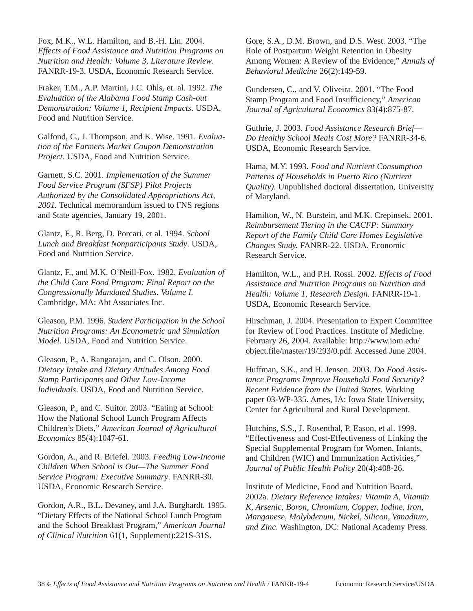Fox, M.K., W.L. Hamilton, and B.-H. Lin. 2004. *Effects of Food Assistance and Nutrition Programs on Nutrition and Health: Volume 3, Literature Review*. FANRR-19-3. USDA, Economic Research Service.

Fraker, T.M., A.P. Martini, J.C. Ohls, et. al. 1992. *The Evaluation of the Alabama Food Stamp Cash-out Demonstration: Volume 1, Recipient Impacts*. USDA, Food and Nutrition Service.

Galfond, G., J. Thompson, and K. Wise. 1991. *Evaluation of the Farmers Market Coupon Demonstration Project.* USDA, Food and Nutrition Service.

Garnett, S.C. 2001. *Implementation of the Summer Food Service Program (SFSP) Pilot Projects Authorized by the Consolidated Appropriations Act, 2001.* Technical memorandum issued to FNS regions and State agencies, January 19, 2001.

Glantz, F., R. Berg, D. Porcari, et al. 1994. *School Lunch and Breakfast Nonparticipants Study*. USDA, Food and Nutrition Service.

Glantz, F., and M.K. O'Neill-Fox. 1982. *Evaluation of the Child Care Food Program: Final Report on the Congressionally Mandated Studies. Volume I.* Cambridge, MA: Abt Associates Inc.

Gleason, P.M. 1996. *Student Participation in the School Nutrition Programs: An Econometric and Simulation Model*. USDA, Food and Nutrition Service.

Gleason, P., A. Rangarajan, and C. Olson. 2000. *Dietary Intake and Dietary Attitudes Among Food Stamp Participants and Other Low-Income Individuals*. USDA, Food and Nutrition Service.

Gleason, P., and C. Suitor. 2003. "Eating at School: How the National School Lunch Program Affects Children's Diets," *American Journal of Agricultural Economics* 85(4):1047-61.

Gordon, A., and R. Briefel. 2003. *Feeding Low-Income Children When School is Out—The Summer Food Service Program: Executive Summary*. FANRR-30. USDA, Economic Research Service.

Gordon, A.R., B.L. Devaney, and J.A. Burghardt. 1995. "Dietary Effects of the National School Lunch Program and the School Breakfast Program," *American Journal of Clinical Nutrition* 61(1, Supplement):221S-31S.

Gore, S.A., D.M. Brown, and D.S. West. 2003. "The Role of Postpartum Weight Retention in Obesity Among Women: A Review of the Evidence," *Annals of Behavioral Medicine* 26(2):149-59.

Gundersen, C., and V. Oliveira. 2001. "The Food Stamp Program and Food Insufficiency," *American Journal of Agricultural Economics* 83(4):875-87.

Guthrie, J. 2003. *Food Assistance Research Brief— Do Healthy School Meals Cost More?* FANRR-34-6. USDA, Economic Research Service.

Hama, M.Y. 1993. *Food and Nutrient Consumption Patterns of Households in Puerto Rico (Nutrient Quality)*. Unpublished doctoral dissertation, University of Maryland.

Hamilton, W., N. Burstein, and M.K. Crepinsek. 2001. *Reimbursement Tiering in the CACFP: Summary Report of the Family Child Care Homes Legislative Changes Study.* FANRR-22. USDA, Economic Research Service.

Hamilton, W.L., and P.H. Rossi. 2002. *Effects of Food Assistance and Nutrition Programs on Nutrition and Health: Volume 1, Research Design*. FANRR-19-1. USDA, Economic Research Service.

Hirschman, J. 2004. Presentation to Expert Committee for Review of Food Practices. Institute of Medicine. February 26, 2004. Available: http://www.iom.edu/ object.file/master/19/293/0.pdf. Accessed June 2004.

Huffman, S.K., and H. Jensen. 2003. *Do Food Assistance Programs Improve Household Food Security? Recent Evidence from the United States*. Working paper 03-WP-335. Ames, IA: Iowa State University, Center for Agricultural and Rural Development.

Hutchins, S.S., J. Rosenthal, P. Eason, et al. 1999. "Effectiveness and Cost-Effectiveness of Linking the Special Supplemental Program for Women, Infants, and Children (WIC) and Immunization Activities," *Journal of Public Health Policy* 20(4):408-26.

Institute of Medicine, Food and Nutrition Board. 2002a. *Dietary Reference Intakes: Vitamin A, Vitamin K, Arsenic, Boron, Chromium, Copper, Iodine, Iron, Manganese, Molybdenum, Nickel, Silicon, Vanadium, and Zinc*. Washington, DC: National Academy Press.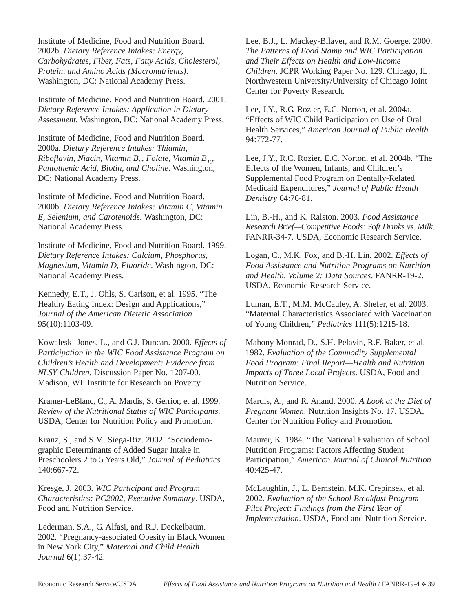Institute of Medicine, Food and Nutrition Board. 2002b. *Dietary Reference Intakes: Energy, Carbohydrates, Fiber, Fats, Fatty Acids, Cholesterol, Protein, and Amino Acids (Macronutrients)*. Washington, DC: National Academy Press.

Institute of Medicine, Food and Nutrition Board. 2001. *Dietary Reference Intakes: Application in Dietary Assessment*. Washington, DC: National Academy Press.

Institute of Medicine, Food and Nutrition Board. 2000a. *Dietary Reference Intakes: Thiamin, Riboflavin, Niacin, Vitamin B6 , Folate, Vitamin B12*, *Pantothenic Acid, Biotin, and Choline*. Washington, DC: National Academy Press.

Institute of Medicine, Food and Nutrition Board. 2000b. *Dietary Reference Intakes: Vitamin C, Vitamin E, Selenium, and Carotenoids*. Washington, DC: National Academy Press.

Institute of Medicine, Food and Nutrition Board. 1999. *Dietary Reference Intakes: Calcium, Phosphorus, Magnesium, Vitamin D, Fluoride*. Washington, DC: National Academy Press.

Kennedy, E.T., J. Ohls, S. Carlson, et al. 1995. "The Healthy Eating Index: Design and Applications," *Journal of the American Dietetic Association* 95(10):1103-09.

Kowaleski-Jones, L., and G.J. Duncan. 2000. *Effects of Participation in the WIC Food Assistance Program on Children's Health and Development: Evidence from NLSY Children*. Discussion Paper No. 1207-00. Madison, WI: Institute for Research on Poverty.

Kramer-LeBlanc, C., A. Mardis, S. Gerrior, et al. 1999. *Review of the Nutritional Status of WIC Participants*. USDA, Center for Nutrition Policy and Promotion.

Kranz, S., and S.M. Siega-Riz. 2002. "Sociodemographic Determinants of Added Sugar Intake in Preschoolers 2 to 5 Years Old," *Journal of Pediatrics* 140:667-72.

Kresge, J. 2003. *WIC Participant and Program Characteristics: PC2002, Executive Summary*. USDA, Food and Nutrition Service.

Lederman, S.A., G. Alfasi, and R.J. Deckelbaum. 2002. "Pregnancy-associated Obesity in Black Women in New York City," *Maternal and Child Health Journal* 6(1):37-42.

Lee, B.J., L. Mackey-Bilaver, and R.M. Goerge. 2000. *The Patterns of Food Stamp and WIC Participation and Their Effects on Health and Low-Income Children*. JCPR Working Paper No. 129. Chicago, IL: Northwestern University/University of Chicago Joint Center for Poverty Research.

Lee, J.Y., R.G. Rozier, E.C. Norton, et al. 2004a. "Effects of WIC Child Participation on Use of Oral Health Services," *American Journal of Public Health* 94:772-77.

Lee, J.Y., R.C. Rozier, E.C. Norton, et al. 2004b. "The Effects of the Women, Infants, and Children's Supplemental Food Program on Dentally-Related Medicaid Expenditures," *Journal of Public Health Dentistry* 64:76-81.

Lin, B.-H., and K. Ralston. 2003. *Food Assistance Research Brief—Competitive Foods: Soft Drinks vs. Milk*. FANRR-34-7. USDA, Economic Research Service.

Logan, C., M.K. Fox, and B.-H. Lin. 2002. *Effects of Food Assistance and Nutrition Programs on Nutrition and Health, Volume 2: Data Sources*. FANRR-19-2. USDA, Economic Research Service.

Luman, E.T., M.M. McCauley, A. Shefer, et al. 2003. "Maternal Characteristics Associated with Vaccination of Young Children," *Pediatrics* 111(5):1215-18.

Mahony Monrad, D., S.H. Pelavin, R.F. Baker, et al. 1982. *Evaluation of the Commodity Supplemental Food Program: Final Report—Health and Nutrition Impacts of Three Local Projects*. USDA, Food and Nutrition Service.

Mardis, A., and R. Anand. 2000. *A Look at the Diet of Pregnant Women*. Nutrition Insights No. 17. USDA, Center for Nutrition Policy and Promotion.

Maurer, K. 1984. "The National Evaluation of School Nutrition Programs: Factors Affecting Student Participation," *American Journal of Clinical Nutrition* 40:425-47.

McLaughlin, J., L. Bernstein, M.K. Crepinsek, et al. 2002. *Evaluation of the School Breakfast Program Pilot Project: Findings from the First Year of Implementation*. USDA, Food and Nutrition Service.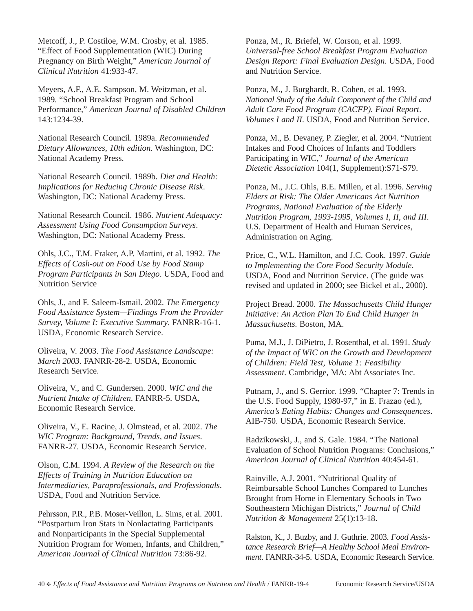Metcoff, J., P. Costiloe, W.M. Crosby, et al. 1985. "Effect of Food Supplementation (WIC) During Pregnancy on Birth Weight," *American Journal of Clinical Nutrition* 41:933-47.

Meyers, A.F., A.E. Sampson, M. Weitzman, et al. 1989. "School Breakfast Program and School Performance," *American Journal of Disabled Children* 143:1234-39.

National Research Council. 1989a. *Recommended Dietary Allowances, 10th edition*. Washington, DC: National Academy Press.

National Research Council. 1989b. *Diet and Health: Implications for Reducing Chronic Disease Risk*. Washington, DC: National Academy Press.

National Research Council. 1986. *Nutrient Adequacy: Assessment Using Food Consumption Surveys*. Washington, DC: National Academy Press.

Ohls, J.C., T.M. Fraker, A.P. Martini, et al. 1992. *The Effects of Cash-out on Food Use by Food Stamp Program Participants in San Diego*. USDA, Food and Nutrition Service

Ohls, J., and F. Saleem-Ismail. 2002. *The Emergency Food Assistance System—Findings From the Provider Survey, Volume I: Executive Summary*. FANRR-16-1. USDA, Economic Research Service.

Oliveira, V. 2003. *The Food Assistance Landscape: March 2003*. FANRR-28-2. USDA, Economic Research Service.

Oliveira, V., and C. Gundersen. 2000. *WIC and the Nutrient Intake of Children*. FANRR-5. USDA, Economic Research Service.

Oliveira, V., E. Racine, J. Olmstead, et al. 2002. *The WIC Program: Background, Trends, and Issues*. FANRR-27. USDA, Economic Research Service.

Olson, C.M. 1994. *A Review of the Research on the Effects of Training in Nutrition Education on Intermediaries, Paraprofessionals, and Professionals*. USDA, Food and Nutrition Service.

Pehrsson, P.R., P.B. Moser-Veillon, L. Sims, et al. 2001. "Postpartum Iron Stats in Nonlactating Participants and Nonparticipants in the Special Supplemental Nutrition Program for Women, Infants, and Children," *American Journal of Clinical Nutrition* 73:86-92.

Ponza, M., R. Briefel, W. Corson, et al. 1999. *Universal-free School Breakfast Program Evaluation Design Report: Final Evaluation Design*. USDA, Food and Nutrition Service.

Ponza, M., J. Burghardt, R. Cohen, et al. 1993. *National Study of the Adult Component of the Child and Adult Care Food Program (CACFP). Final Report*. *Volumes I and II*. USDA, Food and Nutrition Service.

Ponza, M., B. Devaney, P. Ziegler, et al. 2004. "Nutrient Intakes and Food Choices of Infants and Toddlers Participating in WIC," *Journal of the American Dietetic Association* 104(1, Supplement):S71-S79.

Ponza, M., J.C. Ohls, B.E. Millen, et al. 1996. *Serving Elders at Risk: The Older Americans Act Nutrition Programs, National Evaluation of the Elderly Nutrition Program, 1993-1995, Volumes I, II, and III*. U.S. Department of Health and Human Services, Administration on Aging.

Price, C., W.L. Hamilton, and J.C. Cook. 1997. *Guide to Implementing the Core Food Security Module*. USDA, Food and Nutrition Service. (The guide was revised and updated in 2000; see Bickel et al., 2000).

Project Bread. 2000. *The Massachusetts Child Hunger Initiative: An Action Plan To End Child Hunger in Massachusetts.* Boston, MA.

Puma, M.J., J. DiPietro, J. Rosenthal, et al. 1991. *Study of the Impact of WIC on the Growth and Development of Children: Field Test, Volume 1: Feasibility Assessment*. Cambridge, MA: Abt Associates Inc.

Putnam, J., and S. Gerrior. 1999. "Chapter 7: Trends in the U.S. Food Supply, 1980-97," in E. Frazao (ed.), *America's Eating Habits: Changes and Consequences*. AIB-750. USDA, Economic Research Service.

Radzikowski, J., and S. Gale. 1984. "The National Evaluation of School Nutrition Programs: Conclusions," *American Journal of Clinical Nutrition* 40:454-61.

Rainville, A.J. 2001. "Nutritional Quality of Reimbursable School Lunches Compared to Lunches Brought from Home in Elementary Schools in Two Southeastern Michigan Districts," *Journal of Child Nutrition & Management* 25(1):13-18.

Ralston, K., J. Buzby, and J. Guthrie. 2003. *Food Assistance Research Brief—A Healthy School Meal Environment*. FANRR-34-5. USDA, Economic Research Service.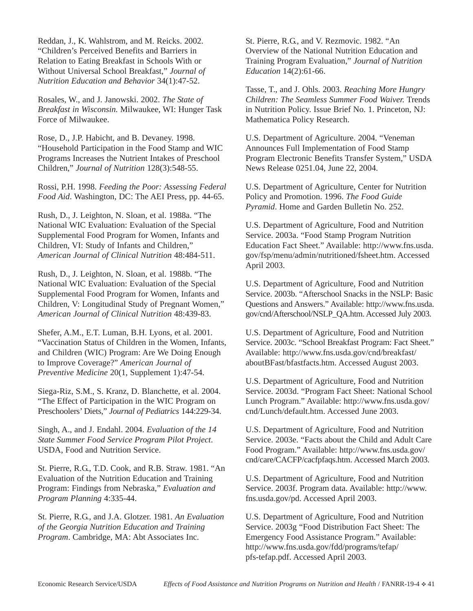Reddan, J., K. Wahlstrom, and M. Reicks. 2002. "Children's Perceived Benefits and Barriers in Relation to Eating Breakfast in Schools With or Without Universal School Breakfast," *Journal of Nutrition Education and Behavior* 34(1):47-52.

Rosales, W., and J. Janowski. 2002. *The State of Breakfast in Wisconsin.* Milwaukee, WI: Hunger Task Force of Milwaukee.

Rose, D., J.P. Habicht, and B. Devaney. 1998. "Household Participation in the Food Stamp and WIC Programs Increases the Nutrient Intakes of Preschool Children," *Journal of Nutrition* 128(3):548-55.

Rossi, P.H. 1998. *Feeding the Poor: Assessing Federal Food Aid*. Washington, DC: The AEI Press, pp. 44-65.

Rush, D., J. Leighton, N. Sloan, et al. 1988a. "The National WIC Evaluation: Evaluation of the Special Supplemental Food Program for Women, Infants and Children, VI: Study of Infants and Children," *American Journal of Clinical Nutrition* 48:484-511.

Rush, D., J. Leighton, N. Sloan, et al. 1988b. "The National WIC Evaluation: Evaluation of the Special Supplemental Food Program for Women, Infants and Children, V: Longitudinal Study of Pregnant Women," *American Journal of Clinical Nutrition* 48:439-83.

Shefer, A.M., E.T. Luman, B.H. Lyons, et al. 2001. "Vaccination Status of Children in the Women, Infants, and Children (WIC) Program: Are We Doing Enough to Improve Coverage?" *American Journal of Preventive Medicine* 20(1, Supplement 1):47-54.

Siega-Riz, S.M., S. Kranz, D. Blanchette, et al. 2004. "The Effect of Participation in the WIC Program on Preschoolers' Diets," *Journal of Pediatrics* 144:229-34.

Singh, A., and J. Endahl. 2004. *Evaluation of the 14 State Summer Food Service Program Pilot Project*. USDA, Food and Nutrition Service.

St. Pierre, R.G., T.D. Cook, and R.B. Straw. 1981. "An Evaluation of the Nutrition Education and Training Program: Findings from Nebraska," *Evaluation and Program Planning* 4:335-44.

St. Pierre, R.G., and J.A. Glotzer. 1981. *An Evaluation of the Georgia Nutrition Education and Training Program*. Cambridge, MA: Abt Associates Inc.

St. Pierre, R.G., and V. Rezmovic. 1982. "An Overview of the National Nutrition Education and Training Program Evaluation," *Journal of Nutrition Education* 14(2):61-66.

Tasse, T., and J. Ohls. 2003. *Reaching More Hungry Children: The Seamless Summer Food Waiver.* Trends in Nutrition Policy. Issue Brief No. 1. Princeton, NJ: Mathematica Policy Research.

U.S. Department of Agriculture. 2004. "Veneman Announces Full Implementation of Food Stamp Program Electronic Benefits Transfer System," USDA News Release 0251.04, June 22, 2004.

U.S. Department of Agriculture, Center for Nutrition Policy and Promotion. 1996. *The Food Guide Pyramid*. Home and Garden Bulletin No. 252.

U.S. Department of Agriculture, Food and Nutrition Service. 2003a. "Food Stamp Program Nutrition Education Fact Sheet." Available: http://www.fns.usda. gov/fsp/menu/admin/nutritioned/fsheet.htm. Accessed April 2003.

U.S. Department of Agriculture, Food and Nutrition Service. 2003b. "Afterschool Snacks in the NSLP: Basic Questions and Answers." Available: http://www.fns.usda. gov/cnd/Afterschool/NSLP\_QA.htm. Accessed July 2003.

U.S. Department of Agriculture, Food and Nutrition Service. 2003c. "School Breakfast Program: Fact Sheet." Available: http://www.fns.usda.gov/cnd/breakfast/ aboutBFast/bfastfacts.htm. Accessed August 2003.

U.S. Department of Agriculture, Food and Nutrition Service. 2003d. "Program Fact Sheet: National School Lunch Program." Available: http://www.fns.usda.gov/ cnd/Lunch/default.htm. Accessed June 2003.

U.S. Department of Agriculture, Food and Nutrition Service. 2003e. "Facts about the Child and Adult Care Food Program." Available: http://www.fns.usda.gov/ cnd/care/CACFP/cacfpfaqs.htm. Accessed March 2003.

U.S. Department of Agriculture, Food and Nutrition Service. 2003f. Program data. Available: http://www. fns.usda.gov/pd. Accessed April 2003.

U.S. Department of Agriculture, Food and Nutrition Service. 2003g "Food Distribution Fact Sheet: The Emergency Food Assistance Program." Available: http://www.fns.usda.gov/fdd/programs/tefap/ pfs-tefap.pdf. Accessed April 2003.